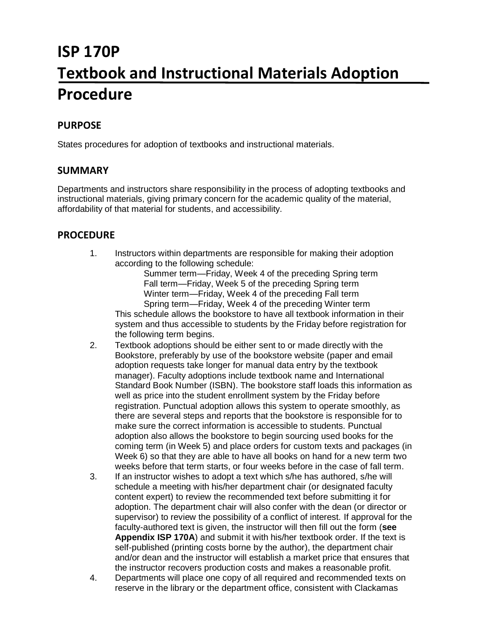# **ISP 170P Textbook and Instructional Materials Adoption Procedure**

### **PURPOSE**

States procedures for adoption of textbooks and instructional materials.

#### **SUMMARY**

Departments and instructors share responsibility in the process of adopting textbooks and instructional materials, giving primary concern for the academic quality of the material, affordability of that material for students, and accessibility.

#### **PROCEDURE**

1. Instructors within departments are responsible for making their adoption according to the following schedule:

Summer term—Friday, Week 4 of the preceding Spring term Fall term—Friday, Week 5 of the preceding Spring term Winter term—Friday, Week 4 of the preceding Fall term Spring term—Friday, Week 4 of the preceding Winter term

This schedule allows the bookstore to have all textbook information in their system and thus accessible to students by the Friday before registration for the following term begins.

- 2. Textbook adoptions should be either sent to or made directly with the Bookstore, preferably by use of the bookstore website (paper and email adoption requests take longer for manual data entry by the textbook manager). Faculty adoptions include textbook name and International Standard Book Number (ISBN). The bookstore staff loads this information as well as price into the student enrollment system by the Friday before registration. Punctual adoption allows this system to operate smoothly, as there are several steps and reports that the bookstore is responsible for to make sure the correct information is accessible to students. Punctual adoption also allows the bookstore to begin sourcing used books for the coming term (in Week 5) and place orders for custom texts and packages (in Week 6) so that they are able to have all books on hand for a new term two weeks before that term starts, or four weeks before in the case of fall term.
- 3. If an instructor wishes to adopt a text which s/he has authored, s/he will schedule a meeting with his/her department chair (or designated faculty content expert) to review the recommended text before submitting it for adoption. The department chair will also confer with the dean (or director or supervisor) to review the possibility of a conflict of interest. If approval for the faculty-authored text is given, the instructor will then fill out the form (**see Appendix ISP 170A**) and submit it with his/her textbook order. If the text is self-published (printing costs borne by the author), the department chair and/or dean and the instructor will establish a market price that ensures that the instructor recovers production costs and makes a reasonable profit.
- 4. Departments will place one copy of all required and recommended texts on reserve in the library or the department office, consistent with Clackamas